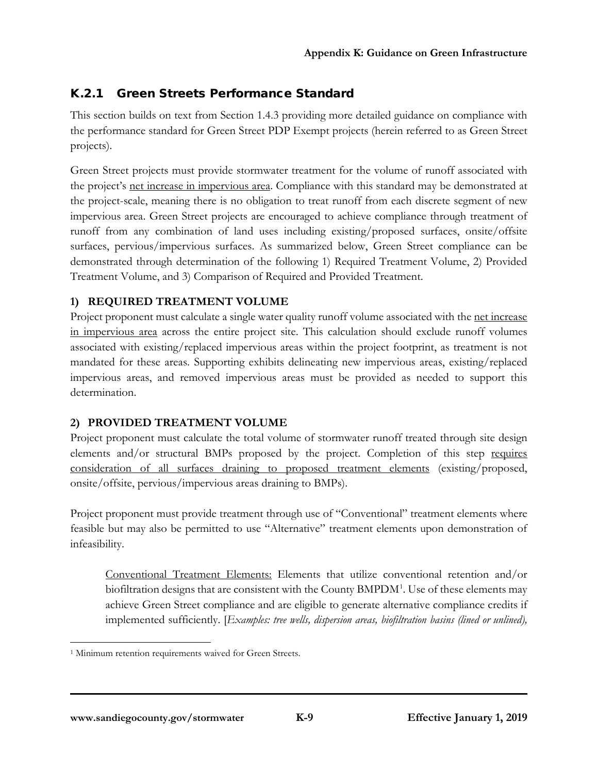# K.2.1 Green Streets Performance Standard

This section builds on text from Section 1.4.3 providing more detailed guidance on compliance with the performance standard for Green Street PDP Exempt projects (herein referred to as Green Street projects).

Green Street projects must provide stormwater treatment for the volume of runoff associated with the project's net increase in impervious area. Compliance with this standard may be demonstrated at the project-scale, meaning there is no obligation to treat runoff from each discrete segment of new impervious area. Green Street projects are encouraged to achieve compliance through treatment of runoff from any combination of land uses including existing/proposed surfaces, onsite/offsite surfaces, pervious/impervious surfaces. As summarized below, Green Street compliance can be demonstrated through determination of the following 1) Required Treatment Volume, 2) Provided Treatment Volume, and 3) Comparison of Required and Provided Treatment.

## **1) REQUIRED TREATMENT VOLUME**

Project proponent must calculate a single water quality runoff volume associated with the net increase in impervious area across the entire project site. This calculation should exclude runoff volumes associated with existing/replaced impervious areas within the project footprint, as treatment is not mandated for these areas. Supporting exhibits delineating new impervious areas, existing/replaced impervious areas, and removed impervious areas must be provided as needed to support this determination.

## **2) PROVIDED TREATMENT VOLUME**

Project proponent must calculate the total volume of stormwater runoff treated through site design elements and/or structural BMPs proposed by the project. Completion of this step requires consideration of all surfaces draining to proposed treatment elements (existing/proposed, onsite/offsite, pervious/impervious areas draining to BMPs).

Project proponent must provide treatment through use of "Conventional" treatment elements where feasible but may also be permitted to use "Alternative" treatment elements upon demonstration of infeasibility.

Conventional Treatment Elements: Elements that utilize conventional retention and/or biofiltration designs that are consistent with the County BMPDM<sup>[1](#page-0-0)</sup>. Use of these elements may achieve Green Street compliance and are eligible to generate alternative compliance credits if implemented sufficiently. [*Examples: tree wells, dispersion areas, biofiltration basins (lined or unlined),* 

<span id="page-0-0"></span><sup>&</sup>lt;sup>1</sup> Minimum retention requirements waived for Green Streets.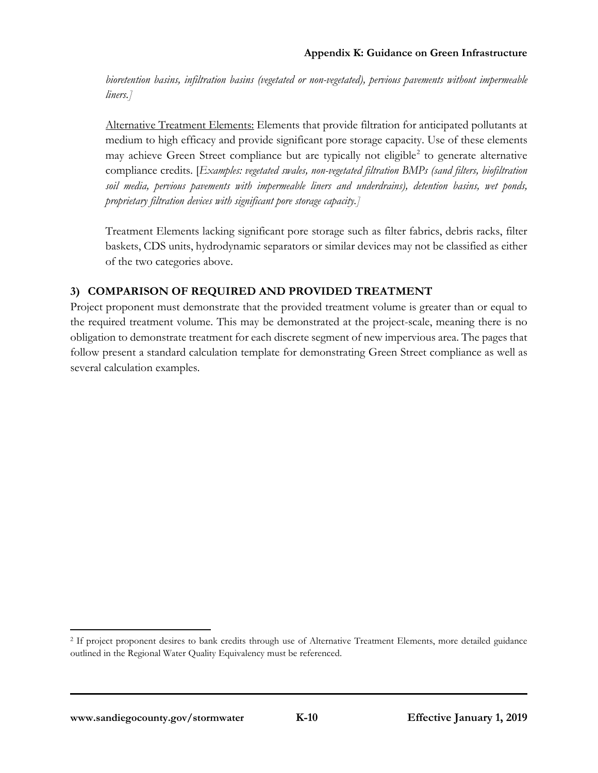*bioretention basins, infiltration basins (vegetated or non-vegetated), pervious pavements without impermeable liners.]*

Alternative Treatment Elements: Elements that provide filtration for anticipated pollutants at medium to high efficacy and provide significant pore storage capacity. Use of these elements may achieve Green Street compliance but are typically not eligible<sup>[2](#page-1-0)</sup> to generate alternative compliance credits. [*Examples: vegetated swales, non-vegetated filtration BMPs (sand filters, biofiltration soil media, pervious pavements with impermeable liners and underdrains), detention basins, wet ponds, proprietary filtration devices with significant pore storage capacity.]*

Treatment Elements lacking significant pore storage such as filter fabrics, debris racks, filter baskets, CDS units, hydrodynamic separators or similar devices may not be classified as either of the two categories above.

## **3) COMPARISON OF REQUIRED AND PROVIDED TREATMENT**

Project proponent must demonstrate that the provided treatment volume is greater than or equal to the required treatment volume. This may be demonstrated at the project-scale, meaning there is no obligation to demonstrate treatment for each discrete segment of new impervious area. The pages that follow present a standard calculation template for demonstrating Green Street compliance as well as several calculation examples.

<span id="page-1-0"></span> <sup>2</sup> If project proponent desires to bank credits through use of Alternative Treatment Elements, more detailed guidance outlined in the Regional Water Quality Equivalency must be referenced.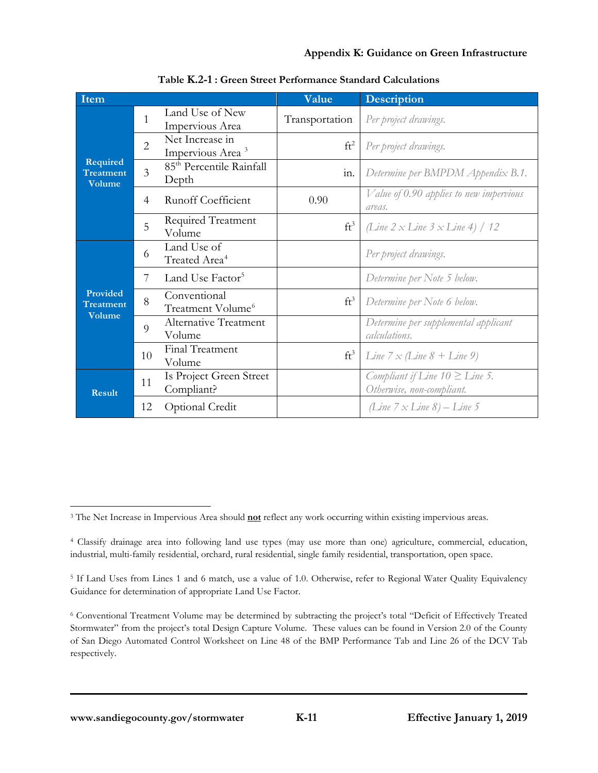| Item                            |                |                                                 | Value           | <b>Description</b>                                               |
|---------------------------------|----------------|-------------------------------------------------|-----------------|------------------------------------------------------------------|
|                                 | 1              | Land Use of New<br>Impervious Area              | Transportation  | Per project drawings.                                            |
|                                 | $\overline{2}$ | Net Increase in<br>Impervious Area <sup>3</sup> | ft <sup>2</sup> | Per project drawings.                                            |
| Required<br>Treatment<br>Volume | $\overline{3}$ | 85 <sup>th</sup> Percentile Rainfall<br>Depth   | in.             | Determine per BMPDM Appendix B.1.                                |
|                                 | $\overline{4}$ | <b>Runoff Coefficient</b>                       | 0.90            | Value of 0.90 applies to new impervious<br>areas.                |
|                                 | 5              | <b>Required Treatment</b><br>Volume             | $ft^3$          | (Line 2 x Line 3 x Line 4) / 12                                  |
|                                 | 6              | Land Use of<br>Treated Area <sup>4</sup>        |                 | Per project drawings.                                            |
|                                 | 7              | Land Use Factor <sup>5</sup>                    |                 | Determine per Note 5 below.                                      |
| Provided<br>Treatment<br>Volume | 8              | Conventional<br>Treatment Volume <sup>6</sup>   | $ft^3$          | Determine per Note 6 below.                                      |
|                                 | $\overline{Q}$ | Alternative Treatment<br>Volume                 |                 | Determine per supplemental applicant<br>calculations.            |
|                                 | 10             | Final Treatment<br>Volume                       | $ft^3$          | <i>Line</i> $7 \times$ <i>(Line</i> $8 +$ <i>Line</i> 9)         |
| <b>Result</b>                   | 11             | Is Project Green Street<br>Compliant?           |                 | Compliant if Line $10 \geq$ Line 5.<br>Otherwise, non-compliant. |
|                                 | 12             | Optional Credit                                 |                 | (Line $7 \times Line 8$ ) – Line 5                               |

**Table K.2-1 : Green Street Performance Standard Calculations**

<span id="page-2-0"></span> <sup>3</sup> The Net Increase in Impervious Area should **not** reflect any work occurring within existing impervious areas.

<span id="page-2-1"></span><sup>4</sup> Classify drainage area into following land use types (may use more than one) agriculture, commercial, education, industrial, multi-family residential, orchard, rural residential, single family residential, transportation, open space.

<span id="page-2-2"></span><sup>5</sup> If Land Uses from Lines 1 and 6 match, use a value of 1.0. Otherwise, refer to Regional Water Quality Equivalency Guidance for determination of appropriate Land Use Factor.

<span id="page-2-3"></span><sup>6</sup> Conventional Treatment Volume may be determined by subtracting the project's total "Deficit of Effectively Treated Stormwater" from the project's total Design Capture Volume. These values can be found in Version 2.0 of the County of San Diego Automated Control Worksheet on Line 48 of the BMP Performance Tab and Line 26 of the DCV Tab respectively.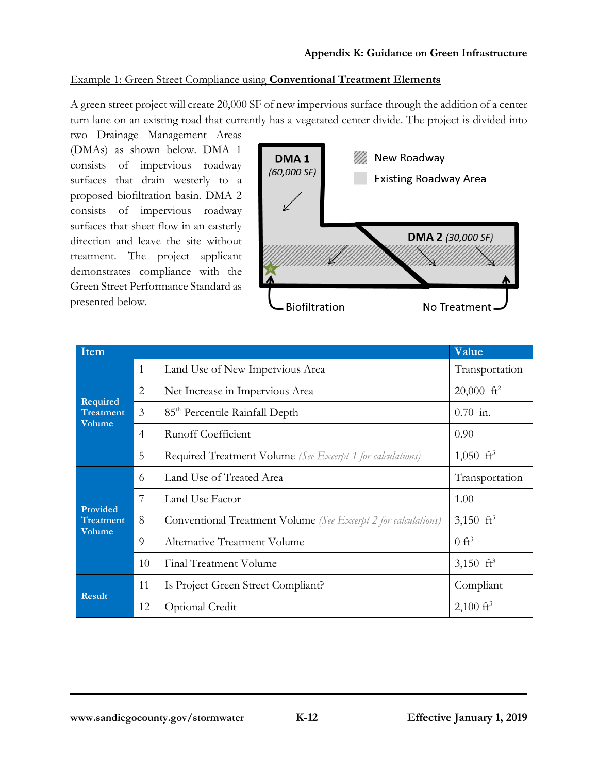#### Example 1: Green Street Compliance using **Conventional Treatment Elements**

A green street project will create 20,000 SF of new impervious surface through the addition of a center turn lane on an existing road that currently has a vegetated center divide. The project is divided into

two Drainage Management Areas (DMAs) as shown below. DMA 1 consists of impervious roadway surfaces that drain westerly to a proposed biofiltration basin. DMA 2 consists of impervious roadway surfaces that sheet flow in an easterly direction and leave the site without treatment. The project applicant demonstrates compliance with the Green Street Performance Standard as presented below.



| Item                         |              |                                                                       | Value                    |  |
|------------------------------|--------------|-----------------------------------------------------------------------|--------------------------|--|
| Required<br><b>Treatment</b> | $\mathbf{1}$ | Land Use of New Impervious Area                                       | Transportation           |  |
|                              | 2            | Net Increase in Impervious Area                                       | $20,000$ ft <sup>2</sup> |  |
|                              | 3            | 85 <sup>th</sup> Percentile Rainfall Depth                            | $0.70$ in.               |  |
| Volume                       | 4            | <b>Runoff Coefficient</b>                                             | 0.90                     |  |
|                              | 5            | <b>Required Treatment Volume</b> (See Excerpt 1 for calculations)     | $1,050 \text{ ft}^3$     |  |
|                              | 6            | Land Use of Treated Area                                              | Transportation           |  |
| Provided                     | 7            | Land Use Factor                                                       | 1.00                     |  |
| <b>Treatment</b><br>Volume   | 8            | <b>Conventional Treatment Volume</b> (See Excerpt 2 for calculations) | 3,150 $ft^3$             |  |
|                              | 9            | <b>Alternative Treatment Volume</b>                                   | $0 \text{ ft}^3$         |  |
|                              | 10           | <b>Final Treatment Volume</b>                                         | 3,150 $ft^3$             |  |
| <b>Result</b>                | 11           | Is Project Green Street Compliant?                                    | Compliant                |  |
|                              | 12           | Optional Credit                                                       | $2,100 \text{ ft}^3$     |  |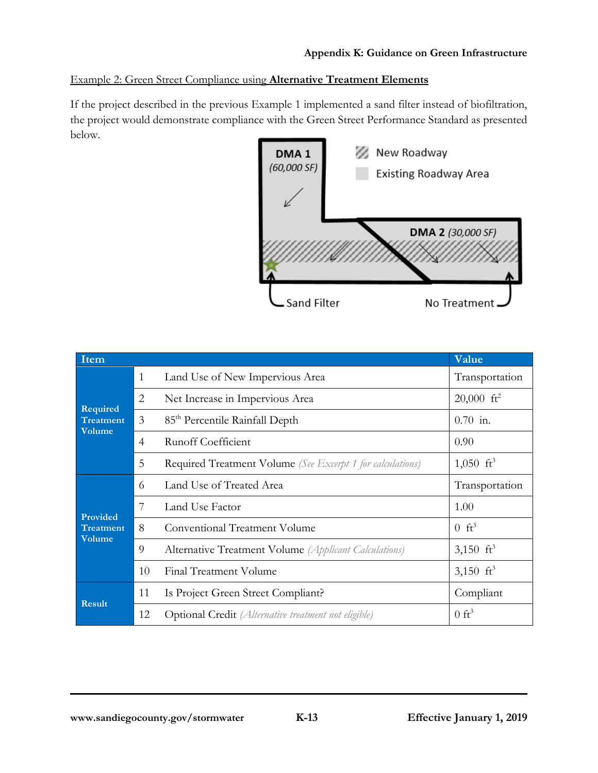## Example 2: Green Street Compliance using **Alternative Treatment Elements**

If the project described in the previous Example 1 implemented a sand filter instead of biofiltration, the project would demonstrate compliance with the Green Street Performance Standard as presented below.



| <b>Item</b>                |                |                                                             | Value                    |
|----------------------------|----------------|-------------------------------------------------------------|--------------------------|
| Required<br>Treatment      | $\mathbf{1}$   | Land Use of New Impervious Area                             | Transportation           |
|                            | 2              | Net Increase in Impervious Area                             | $20,000$ ft <sup>2</sup> |
|                            | 3              | 85 <sup>th</sup> Percentile Rainfall Depth                  | $0.70$ in.               |
| Volume                     | $\overline{4}$ | <b>Runoff Coefficient</b>                                   | 0.90                     |
|                            | 5              | Required Treatment Volume (See Excerpt 1 for calculations)  | 1,050 $ft^3$             |
|                            | 6              | Land Use of Treated Area                                    | Transportation           |
| Provided                   | 7              | Land Use Factor                                             | 1.00                     |
| <b>Treatment</b><br>Volume | 8              | Conventional Treatment Volume                               | $0 \text{ ft}^3$         |
|                            | 9              | Alternative Treatment Volume (Applicant Calculations)       | 3,150 $ft^3$             |
|                            | 10             | <b>Final Treatment Volume</b>                               | 3,150 $\mathrm{ft}^3$    |
| <b>Result</b>              | 11             | Is Project Green Street Compliant?                          | Compliant                |
|                            | 12             | <b>Optional Credit</b> (Alternative treatment not eligible) | $0 \text{ ft}^3$         |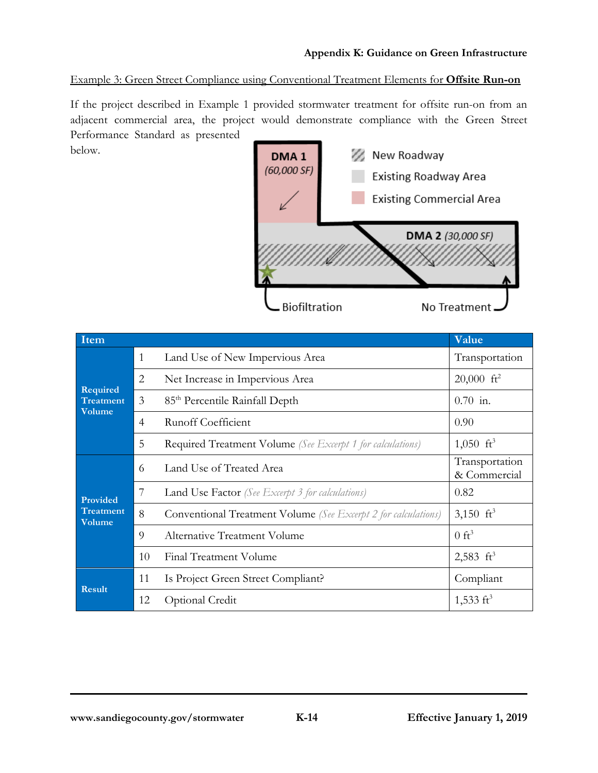#### Example 3: Green Street Compliance using Conventional Treatment Elements for **Offsite Run-on**

If the project described in Example 1 provided stormwater treatment for offsite run-on from an adjacent commercial area, the project would demonstrate compliance with the Green Street Performance Standard as presented



| Item                              |                |                                                                   | Value                          |  |
|-----------------------------------|----------------|-------------------------------------------------------------------|--------------------------------|--|
| Required<br><b>Treatment</b>      | $\mathbf{1}$   | Land Use of New Impervious Area                                   | Transportation                 |  |
|                                   | 2              | Net Increase in Impervious Area                                   | $20,000$ ft <sup>2</sup>       |  |
|                                   | 3              | 85 <sup>th</sup> Percentile Rainfall Depth                        | $0.70$ in.                     |  |
| <b>Volume</b>                     | $\overline{4}$ | <b>Runoff Coefficient</b>                                         | 0.90                           |  |
|                                   | 5              | <b>Required Treatment Volume</b> (See Excerpt 1 for calculations) | $1,050 \text{ ft}^3$           |  |
|                                   | 6              | Land Use of Treated Area                                          | Transportation<br>& Commercial |  |
| Provided                          | 7              | <b>Land Use Factor</b> (See Excerpt 3 for calculations)           | 0.82                           |  |
| <b>Treatment</b><br><b>Volume</b> | 8              | Conventional Treatment Volume (See Excerpt 2 for calculations)    | 3,150 $ft^3$                   |  |
|                                   | 9              | Alternative Treatment Volume                                      | $0 \text{ ft}^3$               |  |
|                                   | 10             | Final Treatment Volume                                            | 2,583 $ft^3$                   |  |
| Result                            | 11             | Is Project Green Street Compliant?                                | Compliant                      |  |
|                                   | 12             | Optional Credit                                                   | 1,533 $\mathrm{ft}^3$          |  |

below.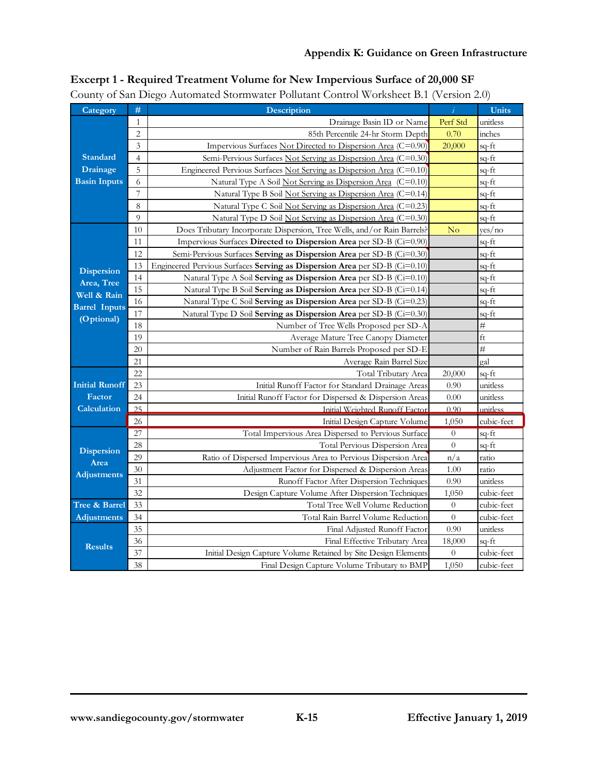#### **Appendix K: Guidance on Green Infrastructure**

| Category              | #               | -0<br>Description                                                          | $\hat{i}$        | <b>Units</b> |
|-----------------------|-----------------|----------------------------------------------------------------------------|------------------|--------------|
|                       | 1               | Drainage Basin ID or Name                                                  | Perf Std         | unitless     |
|                       | $\sqrt{2}$      | 85th Percentile 24-hr Storm Depth                                          | 0.70             | inches       |
|                       | 3               | Impervious Surfaces Not Directed to Dispersion Area (C=0.90)               | 20,000           | sq-ft        |
| Standard              | $\overline{4}$  | Semi-Pervious Surfaces Not Serving as Dispersion Area (C=0.30)             |                  | sq-ft        |
| <b>Drainage</b>       | 5               | Engineered Pervious Surfaces Not Serving as Dispersion Area (C=0.10)       |                  | sq-ft        |
| <b>Basin Inputs</b>   | 6               | Natural Type A Soil Not Serving as Dispersion Area (C=0.10)                |                  | sq-ft        |
|                       | $\overline{7}$  | Natural Type B Soil Not Serving as Dispersion Area (C=0.14)                |                  | sq-ft        |
|                       | 8               | Natural Type C Soil Not Serving as Dispersion Area (C=0.23)                |                  | sq-ft        |
|                       | 9               | Natural Type D Soil Not Serving as Dispersion Area (C=0.30)                |                  | sq-ft        |
|                       | 10              | Does Tributary Incorporate Dispersion, Tree Wells, and/or Rain Barrels?    | No               | yes/no       |
|                       | 11              | Impervious Surfaces Directed to Dispersion Area per SD-B (Ci=0.90)         |                  | sq-ft        |
|                       | 12              | Semi-Pervious Surfaces Serving as Dispersion Area per SD-B (Ci=0.30)       |                  | sq-ft        |
| <b>Dispersion</b>     | 13              | Engineered Pervious Surfaces Serving as Dispersion Area per SD-B (Ci=0.10) |                  | sq-ft        |
| Area, Tree            | 14              | Natural Type A Soil Serving as Dispersion Area per SD-B (Ci=0.10)          |                  | sq-ft        |
| Well & Rain           | 15              | Natural Type B Soil Serving as Dispersion Area per SD-B (Ci=0.14)          |                  | sq-ft        |
| <b>Barrel Inputs</b>  | 16              | Natural Type C Soil Serving as Dispersion Area per SD-B (Ci=0.23)          |                  | sq-ft        |
| (Optional)            | 17              | Natural Type D Soil Serving as Dispersion Area per SD-B (Ci=0.30)          |                  | $sq$ -ft     |
|                       | 18              | Number of Tree Wells Proposed per SD-A                                     |                  | $\#$         |
|                       | 19              | Average Mature Tree Canopy Diameter                                        |                  | $_{\rm ft}$  |
|                       | 20              | Number of Rain Barrels Proposed per SD-E                                   |                  | $\#$         |
|                       | 21              | Average Rain Barrel Size<br>Total Tributary Area                           |                  | gal          |
|                       | 22              | 20,000                                                                     | sq-ft            |              |
| <b>Initial Runoff</b> | 23              | Initial Runoff Factor for Standard Drainage Areas                          | 0.90             | unitless     |
| Factor                | 24              | Initial Runoff Factor for Dispersed & Dispersion Areas                     | 0.00             | unitless     |
| Calculation           | 25              | Initial Weighted Runoff Factor                                             | 0.90             | unitless     |
|                       | 26              | Initial Design Capture Volume                                              | 1,050            | cubic-feet   |
|                       | $\overline{27}$ | Total Impervious Area Dispersed to Pervious Surface                        | $\overline{0}$   | sq-ft        |
| <b>Dispersion</b>     | 28              | Total Pervious Dispersion Area                                             | $\theta$         | sq-ft        |
| Area                  | 29              | Ratio of Dispersed Impervious Area to Pervious Dispersion Area             | n/a              | ratio        |
| <b>Adjustments</b>    | 30              | Adjustment Factor for Dispersed & Dispersion Areas                         | 1.00             | ratio        |
|                       | 31              | Runoff Factor After Dispersion Techniques                                  | 0.90             | unitless     |
|                       | 32              | Design Capture Volume After Dispersion Techniques                          | 1,050            | cubic-feet   |
| Tree & Barrel         | 33              | Total Tree Well Volume Reduction                                           | $\boldsymbol{0}$ | cubic-feet   |
| <b>Adjustments</b>    | 34              | Total Rain Barrel Volume Reduction                                         | $\theta$         | cubic-feet   |
|                       | 35              | Final Adjusted Runoff Factor                                               | 0.90             | unitless     |
| <b>Results</b>        | 36              | Final Effective Tributary Area                                             | 18,000           | sq-ft        |
|                       | 37<br>38        | Initial Design Capture Volume Retained by Site Design Elements             | $\boldsymbol{0}$ | cubic-feet   |
|                       |                 | Final Design Capture Volume Tributary to BMP                               | 1,050            | cubic-feet   |

# **Excerpt 1 - Required Treatment Volume for New Impervious Surface of 20,000 SF**

County of San Diego Automated Stormwater Pollutant Control Worksheet B.1 (Version 2.0)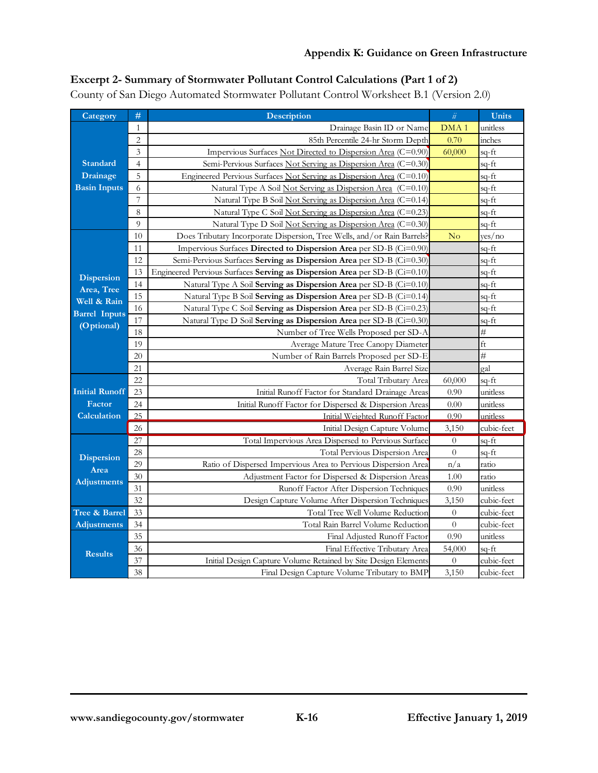# **Excerpt 2- Summary of Stormwater Pollutant Control Calculations (Part 1 of 2)**

County of San Diego Automated Stormwater Pollutant Control Worksheet B.1 (Version 2.0)

| Category              | #               | <b>Description</b>                                                         | $\ddot{\mathcal{U}}$ | <b>Units</b> |
|-----------------------|-----------------|----------------------------------------------------------------------------|----------------------|--------------|
|                       | $\mathbf{1}$    | Drainage Basin ID or Name                                                  | DMA <sub>1</sub>     | unitless     |
|                       | $\overline{2}$  | 85th Percentile 24-hr Storm Depth                                          | 0.70                 | inches       |
|                       | 3               | Impervious Surfaces Not Directed to Dispersion Area (C=0.90)               | 60,000               | sq-ft        |
| <b>Standard</b>       | $\overline{4}$  | Semi-Pervious Surfaces Not Serving as Dispersion Area (C=0.30)             |                      | sq-ft        |
| <b>Drainage</b>       | 5               | Engineered Pervious Surfaces Not Serving as Dispersion Area (C=0.10)       |                      | sq-ft        |
| <b>Basin Inputs</b>   | 6               | Natural Type A Soil Not Serving as Dispersion Area (C=0.10)                |                      | sq-ft        |
|                       | 7               | Natural Type B Soil Not Serving as Dispersion Area (C=0.14)                |                      | sq-ft        |
|                       | 8               | Natural Type C Soil Not Serving as Dispersion Area (C=0.23)                |                      | sq-ft        |
|                       | 9               | Natural Type D Soil Not Serving as Dispersion Area (C=0.30)                |                      | sq-ft        |
|                       | 10              | Does Tributary Incorporate Dispersion, Tree Wells, and/or Rain Barrels?    | No                   | yes/no       |
|                       | 11              | Impervious Surfaces Directed to Dispersion Area per SD-B (Ci=0.90)         |                      | sq-ft        |
|                       | 12              | Semi-Pervious Surfaces Serving as Dispersion Area per SD-B (Ci=0.30)       |                      | sq-ft        |
| <b>Dispersion</b>     | 13              | Engineered Pervious Surfaces Serving as Dispersion Area per SD-B (Ci=0.10) |                      | sq-ft        |
| Area, Tree            | 14              | Natural Type A Soil Serving as Dispersion Area per SD-B (Ci=0.10)          |                      | sq-ft        |
| Well & Rain           | 15              | Natural Type B Soil Serving as Dispersion Area per SD-B (Ci=0.14)          |                      | sq-ft        |
| <b>Barrel Inputs</b>  | 16              | Natural Type C Soil Serving as Dispersion Area per SD-B (Ci=0.23)          |                      | sq-ft        |
| (Optional)            | 17              | Natural Type D Soil Serving as Dispersion Area per SD-B (Ci=0.30)          |                      | $sq$ -ft     |
|                       | 18              | Number of Tree Wells Proposed per SD-A                                     |                      | #            |
|                       | 19              | Average Mature Tree Canopy Diameter                                        |                      | $_{\rm ft}$  |
|                       | 20              | Number of Rain Barrels Proposed per SD-E                                   |                      | #            |
|                       | 21              | Average Rain Barrel Size                                                   |                      | gal          |
|                       | 22              | Total Tributary Area                                                       | 60,000               | sq-ft        |
| <b>Initial Runoff</b> | 23              | Initial Runoff Factor for Standard Drainage Areas                          | 0.90                 | unitless     |
| Factor                | 24              | Initial Runoff Factor for Dispersed & Dispersion Areas                     | 0.00                 | unitless     |
| <b>Calculation</b>    | 25              | Initial Weighted Runoff Factor                                             | 0.90                 | unitless     |
|                       | 26              | Initial Design Capture Volume                                              | 3,150                | cubic-feet   |
|                       | $\overline{27}$ | Total Impervious Area Dispersed to Pervious Surface                        | $\overline{0}$       | $sq$ -ft     |
| <b>Dispersion</b>     | 28              | Total Pervious Dispersion Area                                             | $\boldsymbol{0}$     | sq-ft        |
| Area                  | 29              | Ratio of Dispersed Impervious Area to Pervious Dispersion Area             | n/a                  | ratio        |
| <b>Adjustments</b>    | 30              | Adjustment Factor for Dispersed & Dispersion Areas                         | 1.00                 | ratio        |
|                       | 31              | Runoff Factor After Dispersion Techniques                                  | 0.90                 | unitless     |
|                       | 32              | Design Capture Volume After Dispersion Techniques                          | 3,150                | cubic-feet   |
| Tree & Barrel         | 33              | Total Tree Well Volume Reduction                                           | $\theta$             | cubic-feet   |
| <b>Adjustments</b>    | 34              | Total Rain Barrel Volume Reduction                                         | $\overline{0}$       | cubic-feet   |
|                       | 35              | Final Adjusted Runoff Factor                                               | 0.90                 | unitless     |
| <b>Results</b>        | 36              | Final Effective Tributary Area                                             | 54,000               | sq-ft        |
|                       | 37              | Initial Design Capture Volume Retained by Site Design Elements             | $\theta$             | cubic-feet   |
|                       | 38              | Final Design Capture Volume Tributary to BMP                               | 3,150                | cubic-feet   |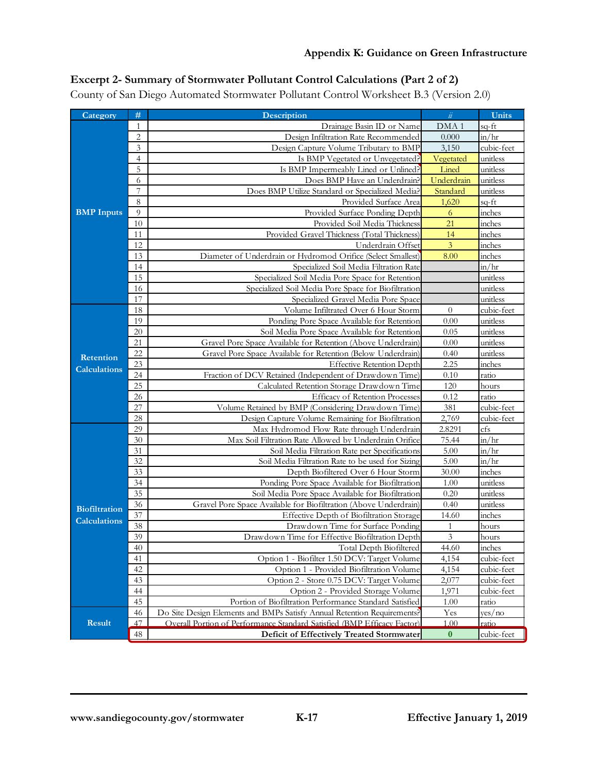# **Excerpt 2- Summary of Stormwater Pollutant Control Calculations (Part 2 of 2)**

County of San Diego Automated Stormwater Pollutant Control Worksheet B.3 (Version 2.0)

| Category             | #              | <b>Description</b>                                                      | $\ddot{\mathcal{U}}$ | <b>Units</b>                  |
|----------------------|----------------|-------------------------------------------------------------------------|----------------------|-------------------------------|
|                      | $\mathbf{1}$   | Drainage Basin ID or Name                                               | DMA <sub>1</sub>     | sq-ft                         |
|                      | $\overline{2}$ | Design Infiltration Rate Recommended                                    | 0.000                | in/hr                         |
|                      | 3              | Design Capture Volume Tributary to BMP                                  | 3,150                | cubic-feet                    |
|                      | 4              | Is BMP Vegetated or Unvegetated?                                        | Vegetated            | unitless                      |
|                      | 5              | Is BMP Impermeably Lined or Unlined?                                    | Lined                | unitless                      |
|                      | 6              | Does BMP Have an Underdrain?                                            | Underdrain           | unitless                      |
|                      | 7              | Does BMP Utilize Standard or Specialized Media?                         | Standard             | unitless                      |
|                      | 8              | Provided Surface Area                                                   | 1,620                | $sq$ -ft                      |
| <b>BMP</b> Inputs    | 9              | Provided Surface Ponding Depth                                          | $\sqrt{6}$           | inches                        |
|                      | 10             | Provided Soil Media Thickness                                           | 21                   | inches                        |
|                      | 11             | Provided Gravel Thickness (Total Thickness)                             | 14                   | inches                        |
|                      | 12             | Underdrain Offset                                                       | $\overline{3}$       | inches                        |
|                      | 13             | Diameter of Underdrain or Hydromod Orifice (Select Smallest)            | 8.00                 | inches                        |
|                      | 14             | Specialized Soil Media Filtration Rate                                  |                      | $\frac{\text{in}}{\text{hr}}$ |
|                      | 15             | Specialized Soil Media Pore Space for Retention                         |                      | unitless                      |
|                      | 16             | Specialized Soil Media Pore Space for Biofiltration                     |                      | unitless                      |
|                      | 17             | Specialized Gravel Media Pore Space                                     |                      | unitless                      |
|                      | 18             | Volume Infiltrated Over 6 Hour Storm                                    | $\theta$             | cubic-feet                    |
|                      | 19             | Ponding Pore Space Available for Retention                              | 0.00                 | unitless                      |
|                      | 20             | Soil Media Pore Space Available for Retention                           | 0.05                 | unitless                      |
|                      | 21             | Gravel Pore Space Available for Retention (Above Underdrain)            | 0.00                 | unitless                      |
| <b>Retention</b>     | 22             | Gravel Pore Space Available for Retention (Below Underdrain)            | 0.40                 | unitless                      |
| <b>Calculations</b>  | 23             | <b>Effective Retention Depth</b>                                        | 2.25                 | inches                        |
|                      | 24             | Fraction of DCV Retained (Independent of Drawdown Time)                 | 0.10                 | ratio                         |
|                      | 25             | Calculated Retention Storage Drawdown Time                              | 120                  | hours                         |
|                      | 26             | <b>Efficacy of Retention Processes</b>                                  | 0.12                 | ratio                         |
|                      | 27             | Volume Retained by BMP (Considering Drawdown Time)                      | 381                  | cubic-feet                    |
|                      | 28             | Design Capture Volume Remaining for Biofiltration                       | 2,769                | cubic-feet                    |
|                      | 29             | Max Hydromod Flow Rate through Underdrain                               | 2.8291               | cfs                           |
|                      | 30             | Max Soil Filtration Rate Allowed by Underdrain Orifice                  | 75.44                | $\frac{\text{in}}{\text{hr}}$ |
|                      | 31             | Soil Media Filtration Rate per Specifications                           | 5.00                 | $\frac{\text{in}}{\text{hr}}$ |
|                      | 32             | Soil Media Filtration Rate to be used for Sizing                        | 5.00                 | in/hr                         |
|                      | 33             | Depth Biofiltered Over 6 Hour Storm                                     | 30.00                | inches                        |
|                      | 34             | Ponding Pore Space Available for Biofiltration                          | 1.00                 | unitless                      |
|                      | 35             | Soil Media Pore Space Available for Biofiltration                       | 0.20                 | unitless                      |
| <b>Biofiltration</b> | 36             | Gravel Pore Space Available for Biofiltration (Above Underdrain)        | 0.40                 | unitless                      |
| <b>Calculations</b>  | 37             | Effective Depth of Biofiltration Storage                                | 14.60                | inches                        |
|                      | 38             | Drawdown Time for Surface Ponding                                       | 1                    | hours                         |
|                      | 39             | Drawdown Time for Effective Biofiltration Depth                         | $\overline{3}$       | hours                         |
|                      | 40             | Total Depth Biofiltered                                                 | 44.60                | inches                        |
|                      | 41             | Option 1 - Biofilter 1.50 DCV: Target Volume                            | 4,154                | cubic-feet                    |
|                      | 42             | Option 1 - Provided Biofiltration Volume                                | 4,154                | cubic-feet                    |
|                      | 43             | Option 2 - Store 0.75 DCV: Target Volume                                | 2,077                | cubic-feet                    |
|                      | 44             | Option 2 - Provided Storage Volume                                      | 1,971                | cubic-feet                    |
|                      | 45             | Portion of Biofiltration Performance Standard Satisfied                 | 1.00                 | ratio                         |
| <b>Result</b>        | 46<br>47       | Do Site Design Elements and BMPs Satisfy Annual Retention Requirements? | Yes                  | yes/ no                       |
|                      |                | Overall Portion of Performance Standard Satisfied (BMP Efficacy Factor) | 1.00                 | ratio                         |
|                      | 48             | Deficit of Effectively Treated Stormwater                               | $\bf{0}$             | cubic-feet                    |